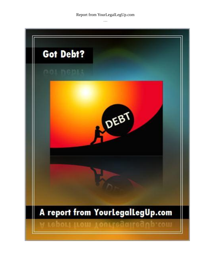Report from YourLegalLegUp.com

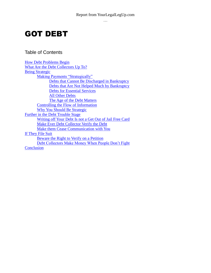# GOT DEBT

Table of Contents

How Debt Problems Begin What Are the Debt Collectors Up To? **Being Strategic** Making Payments "Strategically" Debts that Cannot Be Discharged in Bankruptcy Debts that Are Not Helped Much by Bankruptcy Debts for Essential Services All Other Debts The Age of the Debt Matters Controlling the Flow of Information Why You Should Be Strategic Further in the Debt Trouble Stage Writing off Your Debt Is not a Get Out of Jail Free Card Make Ever Debt Collector Verify the Debt Make them Cease Communication with You If They File Suit Beware the Right to Verify on a Petition Debt Collectors Make Money When People Don't Fight **Conclusion**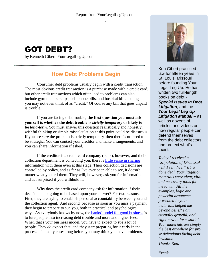

by Kenneth Gibert, [YourLegalLegUp.com](http://www.yourlegallegup.com/)

# **How Debt Problems Begin**

Consumer debt problems usually begin with a credit transaction. The most obvious credit transaction is a purchase made with a credit card, but other credit transactions which often lead to problems can also include gym memberships, cell phone bills, and hospital bills – things you may not even think of as "credit." Of course any bill that goes unpaid is trouble.

If you are facing debt trouble, **the first question you must ask yourself is whether the debt trouble is** *strictly temporary* **or likely to be** *long-term*. You must answer this question realistically and honestly; wishful thinking or simple miscalculation at this point could be disastrous. If you are *sure* the problem is strictly temporary, then there is no need to be strategic. You can contact your creditor and make arrangements, and you can share information if asked.

If the creditor is a credit card company (bank), however, and their collection department is contacting you, there is [little sense in sharing](http://yourlegallegup.com/pages/silencegolden) information with them even at this stage. Their collection decisions are controlled by policy, and as far as I've ever been able to see, it doesn't matter what you tell them. They will, however, ask you for information and act surprised if you withhold it.

Why does the credit card company ask for information if their decision is not going to be based upon your answer? For two reasons. First, they are trying to establish personal accountability between you and the collection agent. And second, because as soon as you miss a payment they begin to prepare to sue you, both in practical and psychological ways. As everybody knows by now, the [banks' model for good business](http://yourlegallegup.com/pages/blamevictims) is to lure people into increasing debt trouble and more and higher fees. When that's your business model, you have to expect to sue a lot of people. They *do* expect that, and they start preparing for it early in the process – in many cases long before you may think you have problems.



Ken Gibert practiced law for fifteen years in St. Louis, Missouri before founding Your Legal Leg Up. He has written two full-length books on debt - *Special Issues in Debt Litigation*, and the *Your Legal Leg Up Litigation Manual –* as well as dozens of articles and videos on how regular people can defend themselves from the debt collectors and protect what's theirs*.*

*Today I received a "Stipulation of Dismissal with Prejudice." It's a done deal. Your litigation materials were clear, vital and necessary tools for me to win. All the examples, logic and powerful arguments presented in your materials helped me beyond belief! I am eternally grateful, and right now quite ecstatic! Your materials are simply the best anywhere for pro se defendants facing debt lawsuits! Thanks Ken,*

*Frank*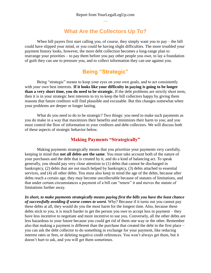# **What Are the Collectors Up To?**

When bill payers first start calling you, of course, they simply want you to pay – the bill could have slipped your mind, or you could be having slight difficulties. The more troubled your payment history looks, however, the more debt collection becomes a long-range plan to rearrange your priorities – to pay them before you pay other people you owe, to lay a foundation of guilt they can use to pressure you, and to collect information they can use against you.

# **Being "Strategic"**

Being "strategic" means to keep your eyes on your own goals, and to act consistently with *your own* best interests. **If it looks like your difficulty in paying is going to be longer than a very short time, you do need to be strategic.** If the debt problems are strictly short term, then it is in your strategic best interests to try to keep the bill collectors happy by giving them reasons that future creditors will find plausible and excusable. But this changes somewhat when your problems are deeper or longer lasting.

What do you need to do to be strategic? Two things: you need to make such payments as you do make in a way that maximizes their benefits and minimizes their harm to you; and you must control the flow of information to your creditors and debt collectors. We will discuss both of these aspects of strategic behavior below.

## **Making Payments "Strategically"**

Making payments strategically means that you prioritize your payments very carefully, keeping in mind that **not all debts are the same**. You must take account both of the nature of your purchases and the debt that is created by it, and do a kind of balancing act. To speak generally, you should pay very close attention to (1) debts that cannot be discharged in bankruptcy, (2) debts that are not much helped by bankruptcy, (3) debts attached to essential services, and (4) all other debts. You must also keep in mind the age of the debts, because after debts reach a certain age, they may become uncollectable because of statutes of limitations, and that under certain circumstances a payment of a bill can "renew" it and moves the statute of limitations further away.

*In short, to make payments strategically means paying first the bills you have the least chance of successfully avoiding if worse comes to worst*. Why? Because if it turns out you cannot pay these debts at all, they would do you the most harm for the longest time. Also, because these debts stick to you, it is much harder to get the person you owe to accept less in payment – they have less incentive to negotiate and more incentive to sue you. Conversely, all the other debts are less hazardous to your future because you *could* get rid of them one way or the other. Remember also that making a payment is different than the purchase that created the debt in the first place – you can ask the debt collector to do something in exchange for your payment, like reducing interest rates or fees, or deleting negative credit references. You won't always get them, but it doesn't hurt to ask, and you will get them sometimes.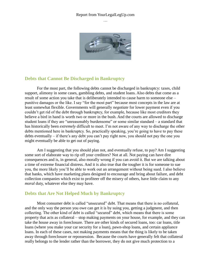#### Report from YourLegalLegUp.com …



#### **Debts that Cannot Be Discharged in Bankruptcy**

For the most part, the following debts cannot be discharged in bankruptcy: taxes, child support, alimony in some cases, gambling debts, and student loans. Also debts that come as a result of some action you take that is deliberately intended to cause harm to someone else – punitive damages or the like. I say "for the most part" because most concepts in the law are at least somewhat flexible. Governments will generally *negotiate* for lower payment even if you couldn't get rid of the debt through bankruptcy, for example, because like most creditors they believe a bird in hand is worth two or more in the bush. And the courts are allowed to discharge student loans if they are "unreasonably burdensome" or some similar standard – a standard that has historically been *extremely* difficult to meet. I'm not aware of any way to discharge the other debts mentioned here in bankruptcy. So, practically speaking, you're going to have to pay these debts eventually – if there's any debt you can't pay right now, you should not pay the one you might eventually be able to get out of paying.

Am I suggesting that you should plan not, and eventually refuse, to pay? Am I suggesting some sort of elaborate way to rip off your creditors? Not at all. Not paying can have dire consequences and is, in general, also morally wrong if you can avoid it. But we are talking about a time of extreme financial distress. And it is also true that the tougher it is for someone to sue you, the more likely you'll be able to work out an arrangement without being sued. I also believe that banks, which have marketing plans designed to encourage and bring about failure, and debt collection companies which exist to profiteer off the misery of others, have little claim to any *moral* duty, whatever else they may have.

#### **Debts that Are Not Helped Much by Bankruptcy**

Most consumer debt is called "unsecured" debt. That means that there is no collateral, and the only way the person you owe can get it is by suing you, getting a judgment, and then collecting. The other kind of debt is called "secured" debt, which means that there is some property that acts as collateral – stop making payments on your house, for example, and they can take the house away in foreclosure. There are other kinds of secured loans, too: car loans, title loans (where you make your car security for a loan), pawn-shop loans, and certain appliance loans. In each of these cases, not making payments means that the thing is likely to be taken away through foreclosure or repossession. Because the courts have generally felt that collateral really belongs to the lender rather than the borrower, they do not give much protection to a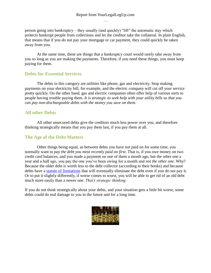person going into bankruptcy – they usually (and quickly) "lift" the automatic stay which protects bankrupt people from collections and let the creditor take the collateral. In plain English, that means that if you do not pay your mortgage or car payment, they could quickly be taken away from you.

At the same time, these are things that a bankruptcy court would rarely take away from you so long as you are making the payments. Therefore, if you need these things, you must keep paying for them.

#### **Debts for Essential Services**

The debts in this category are utilities like phone, gas and electricity. Stop making payments on your electricity bill, for example, and the electric company will cut off your service pretty quickly. On the other hand, gas and electric companies often offer help of various sorts to people having trouble paying them. *It is strategic to seek help with your utility bills so that you can pay non-dischargeable debts with the money you save on them*.

## **All other Debts**

All other unsecured debts give the creditors much less power over you, and therefore thinking strategically means that you pay them last, if you pay them at all.

#### **The Age of the Debt Matters**

Other things being equal, as between debts you have not paid on for some time, you normally want to *pay the debt you most recently paid on first*. That is, if you owe money on two credit card balances, and you made a payment on one of them a month ago, but the other one a year and a half ago, you pay the one you've been owing for a month and *not the other one*. Why? Because the older debt is worth less to the debt collector (according to their books) and because debts have a [statute of limitations](http://yourlegallegup.com/pages/statsoflims) that will eventually eliminate the debt even if you do not pay it. Or to put it slightly differently, if worse comes to worst, you will be able to get rid of an old debt much more easily than a newer one. *That's strategic thinking*.

If you do not think strategically about your debts, and your situation gets a little bit worse, some debts could do real damage to you in the future and for a long time.

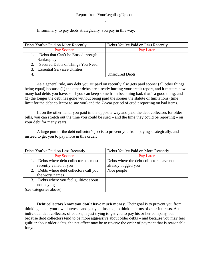#### Report from YourLegalLegUp.com …

In summary, to pay debts strategically, you pay in this way:

| Debts You've Paid on More Recently  | Debts You've Paid on Less Recently |
|-------------------------------------|------------------------------------|
| Pay Sooner                          | Pay Later                          |
| Debts that Can't be Erased through  |                                    |
| Bankruptcy                          |                                    |
| Secured Debts of Things You Need    |                                    |
| <b>Essential Services/Utilities</b> |                                    |
|                                     | <b>Unsecured Debts</b>             |

As a general rule, any debt you've paid on recently also gets paid sooner (all other things being equal) because (1) the other debts are already hurting your credit report, and it matters how many bad debts you have, so if you can keep some from becoming bad, that's a good thing, and (2) the longer the debt has gone without being paid the sooner the statute of limitations (time limit for the debt collector to sue you) and the 7-year period of credit reporting on bad items.

If, on the other hand, you paid in the opposite way and paid the debt collectors for older bills, you can stretch out the time you could be sued – and the time they could be reporting – on your debt for many years.

A large part of the debt collector's job is to prevent you from paying strategically, and instead to get you to pay more in this order:

| Debts You've Paid on Less Recently      | Debts You've Paid on More Recently       |
|-----------------------------------------|------------------------------------------|
| Pay Sooner                              | Pay Later                                |
| Debts where debt collector has most     | Debts where the debt collectors have not |
| recently yelled at you                  | already bugged you                       |
| 2. Debts where debt collectors call you | Nice people                              |
| the worst names                         |                                          |
| 3. Debts where you feel guiltiest about |                                          |
| not paying                              |                                          |
| (see categories above)                  |                                          |

**Debt collectors know you don't have much money**. Their goal is to prevent you from thinking about your own interests and get you, instead, to think in terms of *their* interests. An individual debt collector, of course, is just trying to get you to pay his or her company, but because debt collectors tend to be more aggressive about older debts – and because you may feel guiltier about older debts, the net effect may be to reverse the order of payment that is reasonable for *you*.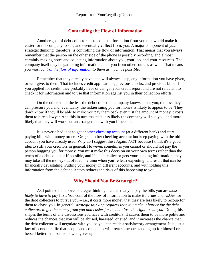#### **Controlling the Flow of Information**

Another goal of debt collectors is to collect information from you that would make it easier for the company to sue, and eventually **collect** from, you. A major component of *your* strategic thinking, therefore, is controlling the flow of information. That means that you always remember that the person on the other side of the phone is possibly recording, and almost certainly making notes and collecting information about you, your job, and your resources. The company itself may be gathering information about you from other sources as well. That means *you must [control the flow of information](http://yourlegallegup.com/pages/silencegolden) to them as much as possible*.

Remember that they already have, and will always keep, any information you have given, or will give, to them. That includes credit applications, previous checks, and previous bills. If you applied for credit, they probably have or can get your credit report and are not reluctant to check it for information and to use that information against you in their collection efforts.

On the other hand, the less the debt collection company knows about you, the less they can pressure you and, eventually, the riskier suing you for money is likely to appear to be. They don't know if they'll be able to make you pay them back even just the amount of money it costs them to hire a lawyer. And this in turn makes it less likely the company will sue you, and more likely that they will work out an arrangement with you if need be.

It is never a bad idea to [get another checking account](http://yourlegallegup.com/pages/garnish_social_security) (at a different bank) and start paying bills with money orders. Or get another checking account but keep paying with the old account you have already used. Why do I suggest this? Again, NOT because I think it's a good idea to stiff your creditors in general. However, sometimes you cannot or should not pay the person bugging you for money. You must make this decision on your own terms rather than the terms of a debt collector if possible, and if a debt collector gets your banking information, they may take all the money out of it at one time when you're least expecting it, a result that can be financially devastating. Putting your money in different accounts, and withholding this information from the debt collectors reduces the risks of this happening to you.

## **Why Should You Be Strategic?**

As I pointed out above, strategic thinking dictates that you pay the bills you are *most likely to have to pay* first. You control the flow of information to make it *harder* and *riskier* for the debt collectors to pursue you  $-i.e.,$  it costs more money that they are less likely to recoup for them to chase you. In general, *strategic thinking requires that you make it harder for the debt collectors to get the money from you and easier for them to lose the right to sue you*. Doing this shapes the terms of any discussions you have with creditors. It causes them to be more polite and reduces the chances that you will be abused, harassed, or sued, and it increases the chance that the debt collector will negotiate with you so you can reach a satisfactory arrangement. It is just a fact of economic life that people and companies will treat someone standing up for himself or herself better than someone who gives up.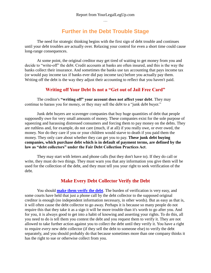## **Further in the Debt Trouble Stage**

The need for strategic thinking begins with the first sign of debt trouble and continues until your debt troubles are actually over. Relaxing your control for even a short time could cause long-range consequences.

At some point, the original creditor may get tired of waiting to get money from you and decide to "write-off" the debt. Credit accounts at banks are often insured, and this is the way the banks collect their insurance. And sometimes the banks use tax accounting that pays income tax (or would pay income tax if banks ever did pay income tax) before you actually pay them. Writing off the debt is the way they adjust their accounting to reflect that you haven't paid.

#### **Writing off Your Debt Is not a "Get out of Jail Free Card"**

The creditor's **"writing off" your account does not affect your debt**. They may continue to harass you for money, or they may sell the debt to a "junk debt buyer."

Junk debt buyers are scavenger companies that buy huge quantities of debt that people supposedly owe for very small amounts of money. These companies exist for the sole purpose of squeezing and harassing distressed consumers and forcing them to pay money on the debts. They are ruthless and, for example, do not care (much, if at all) if you really owe, or ever owed, the money. Nor do they care if you or your children would starve to death if you paid them the money. They only care about whether they can get you to pay. **These junk debt buying companies, which purchase debt which is in default of payment terms, are defined by the law as "debt collectors" under the Fair Debt Collection Practices Act**.

They may start with letters and phone calls (but they don't have to). If they do call or write, they must do two things. They must warn you that any information you give them will be used for the collection of the debt, and they must tell you your right to seek verification of the debt.

## **Make Every Debt Collector Verify the Debt**

You should **[make them verify the debt](http://yourlegallegup.com/pages/requiring_verification)**. The burden of verification is very easy, and some courts have held that just a phone call by the debt collector to the supposed original creditor is enough (no independent information necessary, in other words). But as easy as that is, it will often cause the debt collector to go away. Perhaps it is because so many people do not require this that they take it as a sign it will be more trouble than it's worth to go after you. And for you, it is always good to get into a habit of knowing and asserting your rights. To do this, all you need to do is tell them you contest the debt and you request them to verify it. They are not allowed to take further action against you to collect the debt until they verify it. You have a right to require *every* new debt collector (if they sell the debt to someone else) to verify the debt separately, and you should probably do that because sometimes more than one company thinks it has the right to sue or otherwise collect from you.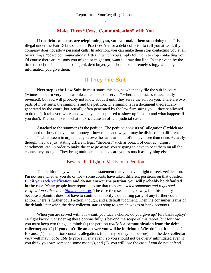#### **Make Them "Cease Communication" with You**

**If the debt collectors are telephoning you, you can make them stop** doing this. It is illegal under the Fair Debt Collection Practices Act for a debt collector to call you at work if your company does not allow personal calls. In addition, you can make them stop contacting you at all by writing a "cease communications" letter in which you simply tell them to stop contacting you. Of course there are reasons you might, or might not, want to draw that line. In any event, by the time the debt is in the hands of a junk debt buyer, you should be extremely stingy with any information you give them.

## **If They File Suit**

**Next step is the Law Suit**. In most states this begins when they file the suit in court (Minnesota has a very unusual rule called "pocket service" where the process is essentially reversed), but you will probably not know about it until they serve the suit on you. There are two parts of most suits: the summons and the petition. The summons is a document theoretically generated by the court (but actually often generated by the law firm suing you – they're allowed to do this). It tells you where and when you're supposed to show up in court and what happens if you don't. The summons is what makes a case an official judicial case.

Attached to the summons is the petition. The petition consists of "allegations" which are supposed to show that you owe money – how much and why. It may be divided into different "counts" which seem to argue that you owe the same amount of money more than once. Actually, though, they are just stating different legal "theories," such as breach of contract, unjust enrichment, etc. In order to make the case go away, you're going to have to beat them on all the counts they brought. They bring multiple counts to scare you as much as anything else.

#### Beware the Right to Verify on a Petition

The Petition may well also include a statement that you have a right to seek verification. I'm not sure whether you do or not – some courts have taken different positions on that question. But **[if you seek verification](http://yourlegallegup.com/pages/bogusnotice) and do not answer the petition, you will probably be defaulted in the case**. Many people have reported to me that they *received a summons and requested verification rather than [filing an answer](http://yourlegallegup.com/pages/answer_petition)*. The case then seems to go away, but this is only because a plaintiff does not have to continue to notify a defaulting party of any further court action. There *is* further court action, though, and a default judgment. Then the consumer learns of the default later when the debt collector starts trying to garnish wages or bank accounts.

When you are served with a law suit, you face a choice: do you give up? File bankruptcy? Or fight back? Considering these options fully is beyond the scope of this report, but for now you must keep two things in mind: (1) the petition *really is* **a communication from the debt collector;** and (2) **if you don't file an answer you will be in default**. Why do I put it like that? Because (1) the petition contains allegations (that may or may not be true) that the debt collector very well may *not be able to prove* in any event (so you should not be overly intimidated even if you think you owe someone some money), and (2), you will lose the case if you do not defend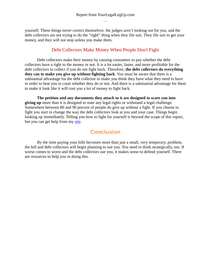yourself. These things never correct themselves: the judges aren't looking out for you, and the debt collectors are not trying to do the "right" thing when they file suit. They file suit to get your money, and they will not stop unless you make them.

## Debt Collectors Make Money When People Don't Fight

Debt collectors make their money by causing consumers to pay whether the debt collectors have a right to the money or not. It is a lot easier, faster, and more profitable for the debt collectors to collect if you do not fight back. Therefore, **the debt collectors do everything they can to make you give up without fighting back**. You must be aware that there is a substantial advantage for the debt collector to make you think they have what they need to have in order to beat you in court whether they do or not. And there is a substantial advantage for them to make it look like it will cost you a lot of money to fight back.

**The petition and any documents they attach to it are designed to scare you into giving up** more than it is designed to state any legal rights or withstand a legal challenge. Somewhere between 80 and 90 percent of people do give up without a fight. If you choose to fight you start to change the way the debt collectors look at you and your case. Things begin looking up immediately. Telling you how to fight for yourself is beyond the scope of this report, but you can get help from my [site.](http://yourlegallegup.com/)

## **Conclusion**

By the time paying your bills becomes more than just a small, very temporary, problem, the bill and debt collectors will begin planning to sue you. You need to think strategically, too. If worse comes to worst and the debt collectors sue you, it makes sense to defend yourself. There are resources to help you in doing this.